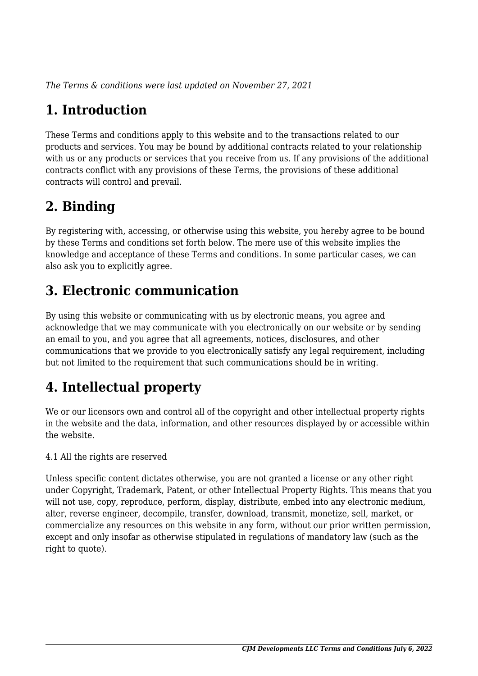*The Terms & conditions were last updated on November 27, 2021*

# **1. Introduction**

These Terms and conditions apply to this website and to the transactions related to our products and services. You may be bound by additional contracts related to your relationship with us or any products or services that you receive from us. If any provisions of the additional contracts conflict with any provisions of these Terms, the provisions of these additional contracts will control and prevail.

# **2. Binding**

By registering with, accessing, or otherwise using this website, you hereby agree to be bound by these Terms and conditions set forth below. The mere use of this website implies the knowledge and acceptance of these Terms and conditions. In some particular cases, we can also ask you to explicitly agree.

# **3. Electronic communication**

By using this website or communicating with us by electronic means, you agree and acknowledge that we may communicate with you electronically on our website or by sending an email to you, and you agree that all agreements, notices, disclosures, and other communications that we provide to you electronically satisfy any legal requirement, including but not limited to the requirement that such communications should be in writing.

# **4. Intellectual property**

We or our licensors own and control all of the copyright and other intellectual property rights in the website and the data, information, and other resources displayed by or accessible within the website.

4.1 All the rights are reserved

Unless specific content dictates otherwise, you are not granted a license or any other right under Copyright, Trademark, Patent, or other Intellectual Property Rights. This means that you will not use, copy, reproduce, perform, display, distribute, embed into any electronic medium, alter, reverse engineer, decompile, transfer, download, transmit, monetize, sell, market, or commercialize any resources on this website in any form, without our prior written permission, except and only insofar as otherwise stipulated in regulations of mandatory law (such as the right to quote).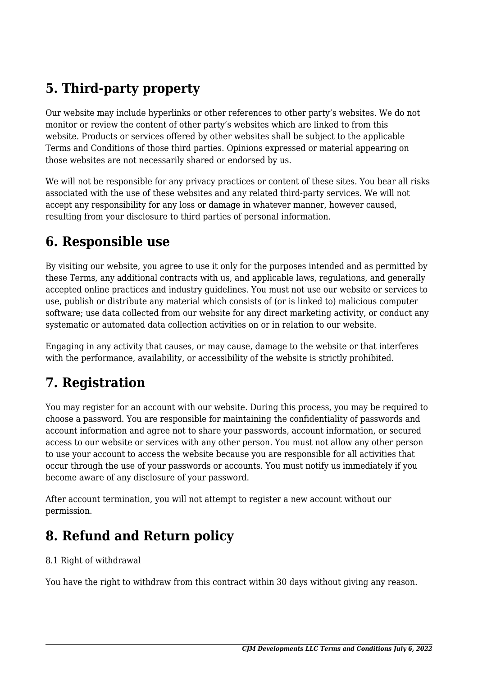# **5. Third-party property**

Our website may include hyperlinks or other references to other party's websites. We do not monitor or review the content of other party's websites which are linked to from this website. Products or services offered by other websites shall be subject to the applicable Terms and Conditions of those third parties. Opinions expressed or material appearing on those websites are not necessarily shared or endorsed by us.

We will not be responsible for any privacy practices or content of these sites. You bear all risks associated with the use of these websites and any related third-party services. We will not accept any responsibility for any loss or damage in whatever manner, however caused, resulting from your disclosure to third parties of personal information.

#### **6. Responsible use**

By visiting our website, you agree to use it only for the purposes intended and as permitted by these Terms, any additional contracts with us, and applicable laws, regulations, and generally accepted online practices and industry guidelines. You must not use our website or services to use, publish or distribute any material which consists of (or is linked to) malicious computer software; use data collected from our website for any direct marketing activity, or conduct any systematic or automated data collection activities on or in relation to our website.

Engaging in any activity that causes, or may cause, damage to the website or that interferes with the performance, availability, or accessibility of the website is strictly prohibited.

# **7. Registration**

You may register for an account with our website. During this process, you may be required to choose a password. You are responsible for maintaining the confidentiality of passwords and account information and agree not to share your passwords, account information, or secured access to our website or services with any other person. You must not allow any other person to use your account to access the website because you are responsible for all activities that occur through the use of your passwords or accounts. You must notify us immediately if you become aware of any disclosure of your password.

After account termination, you will not attempt to register a new account without our permission.

# **8. Refund and Return policy**

#### 8.1 Right of withdrawal

You have the right to withdraw from this contract within 30 days without giving any reason.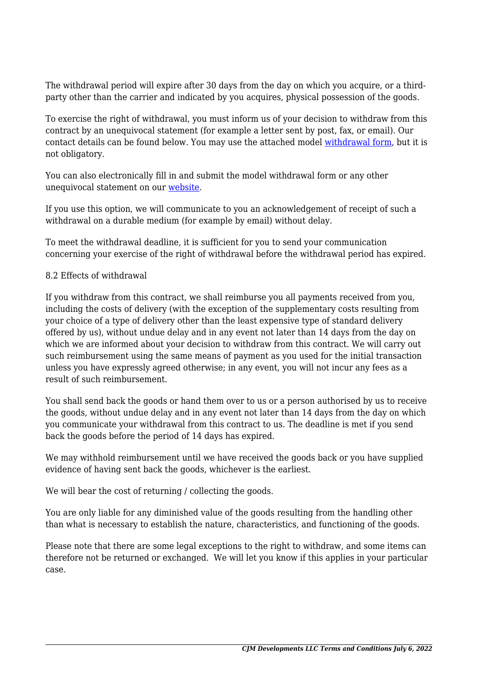The withdrawal period will expire after 30 days from the day on which you acquire, or a thirdparty other than the carrier and indicated by you acquires, physical possession of the goods.

To exercise the right of withdrawal, you must inform us of your decision to withdraw from this contract by an unequivocal statement (for example a letter sent by post, fax, or email). Our contact details can be found below. You may use the attached model [withdrawal form](https://cjmdevelopments.com/wp-content/uploads/complianz/withdrawal-forms/withdrawal-form-en.pdf), but it is not obligatory.

You can also electronically fill in and submit the model withdrawal form or any other unequivocal statement on our [website](https://cjmdevelopments.com/contact/).

If you use this option, we will communicate to you an acknowledgement of receipt of such a withdrawal on a durable medium (for example by email) without delay.

To meet the withdrawal deadline, it is sufficient for you to send your communication concerning your exercise of the right of withdrawal before the withdrawal period has expired.

#### 8.2 Effects of withdrawal

If you withdraw from this contract, we shall reimburse you all payments received from you, including the costs of delivery (with the exception of the supplementary costs resulting from your choice of a type of delivery other than the least expensive type of standard delivery offered by us), without undue delay and in any event not later than 14 days from the day on which we are informed about your decision to withdraw from this contract. We will carry out such reimbursement using the same means of payment as you used for the initial transaction unless you have expressly agreed otherwise; in any event, you will not incur any fees as a result of such reimbursement.

You shall send back the goods or hand them over to us or a person authorised by us to receive the goods, without undue delay and in any event not later than 14 days from the day on which you communicate your withdrawal from this contract to us. The deadline is met if you send back the goods before the period of 14 days has expired.

We may withhold reimbursement until we have received the goods back or you have supplied evidence of having sent back the goods, whichever is the earliest.

We will bear the cost of returning / collecting the goods.

You are only liable for any diminished value of the goods resulting from the handling other than what is necessary to establish the nature, characteristics, and functioning of the goods.

Please note that there are some legal exceptions to the right to withdraw, and some items can therefore not be returned or exchanged. We will let you know if this applies in your particular case.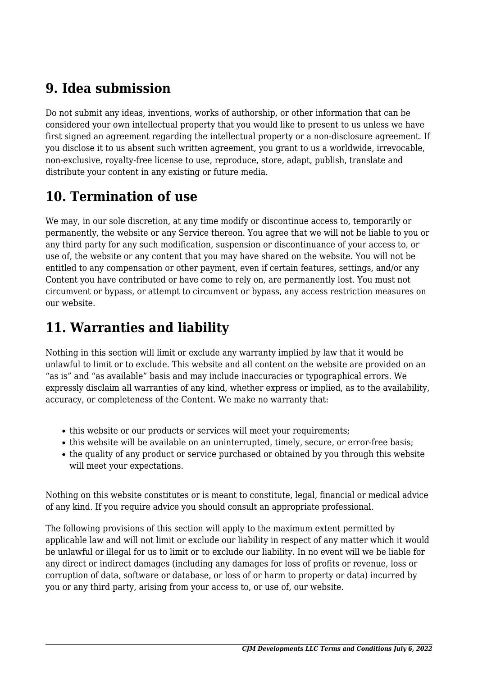#### **9. Idea submission**

Do not submit any ideas, inventions, works of authorship, or other information that can be considered your own intellectual property that you would like to present to us unless we have first signed an agreement regarding the intellectual property or a non-disclosure agreement. If you disclose it to us absent such written agreement, you grant to us a worldwide, irrevocable, non-exclusive, royalty-free license to use, reproduce, store, adapt, publish, translate and distribute your content in any existing or future media.

# **10. Termination of use**

We may, in our sole discretion, at any time modify or discontinue access to, temporarily or permanently, the website or any Service thereon. You agree that we will not be liable to you or any third party for any such modification, suspension or discontinuance of your access to, or use of, the website or any content that you may have shared on the website. You will not be entitled to any compensation or other payment, even if certain features, settings, and/or any Content you have contributed or have come to rely on, are permanently lost. You must not circumvent or bypass, or attempt to circumvent or bypass, any access restriction measures on our website.

# **11. Warranties and liability**

Nothing in this section will limit or exclude any warranty implied by law that it would be unlawful to limit or to exclude. This website and all content on the website are provided on an "as is" and "as available" basis and may include inaccuracies or typographical errors. We expressly disclaim all warranties of any kind, whether express or implied, as to the availability, accuracy, or completeness of the Content. We make no warranty that:

- this website or our products or services will meet your requirements;
- this website will be available on an uninterrupted, timely, secure, or error-free basis;
- the quality of any product or service purchased or obtained by you through this website will meet your expectations.

Nothing on this website constitutes or is meant to constitute, legal, financial or medical advice of any kind. If you require advice you should consult an appropriate professional.

The following provisions of this section will apply to the maximum extent permitted by applicable law and will not limit or exclude our liability in respect of any matter which it would be unlawful or illegal for us to limit or to exclude our liability. In no event will we be liable for any direct or indirect damages (including any damages for loss of profits or revenue, loss or corruption of data, software or database, or loss of or harm to property or data) incurred by you or any third party, arising from your access to, or use of, our website.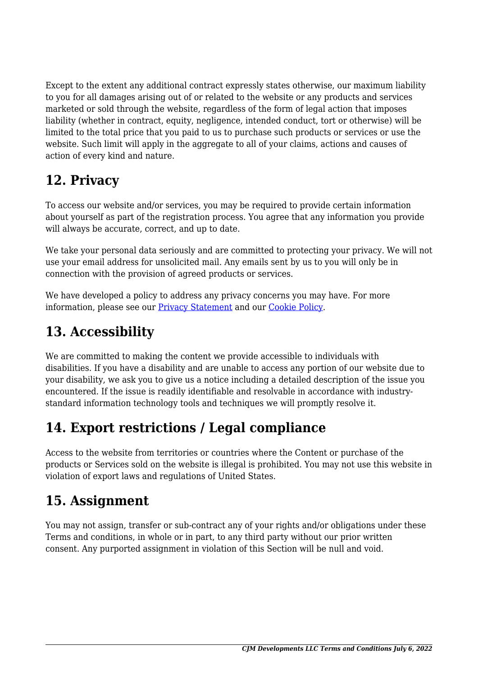Except to the extent any additional contract expressly states otherwise, our maximum liability to you for all damages arising out of or related to the website or any products and services marketed or sold through the website, regardless of the form of legal action that imposes liability (whether in contract, equity, negligence, intended conduct, tort or otherwise) will be limited to the total price that you paid to us to purchase such products or services or use the website. Such limit will apply in the aggregate to all of your claims, actions and causes of action of every kind and nature.

# **12. Privacy**

To access our website and/or services, you may be required to provide certain information about yourself as part of the registration process. You agree that any information you provide will always be accurate, correct, and up to date.

We take your personal data seriously and are committed to protecting your privacy. We will not use your email address for unsolicited mail. Any emails sent by us to you will only be in connection with the provision of agreed products or services.

We have developed a policy to address any privacy concerns you may have. For more information, please see our Privacy Statement and our [Cookie Policy](https://cjmdevelopments.com/cookie-policy-us/).

# **13. Accessibility**

We are committed to making the content we provide accessible to individuals with disabilities. If you have a disability and are unable to access any portion of our website due to your disability, we ask you to give us a notice including a detailed description of the issue you encountered. If the issue is readily identifiable and resolvable in accordance with industrystandard information technology tools and techniques we will promptly resolve it.

# **14. Export restrictions / Legal compliance**

Access to the website from territories or countries where the Content or purchase of the products or Services sold on the website is illegal is prohibited. You may not use this website in violation of export laws and regulations of United States.

# **15. Assignment**

You may not assign, transfer or sub-contract any of your rights and/or obligations under these Terms and conditions, in whole or in part, to any third party without our prior written consent. Any purported assignment in violation of this Section will be null and void.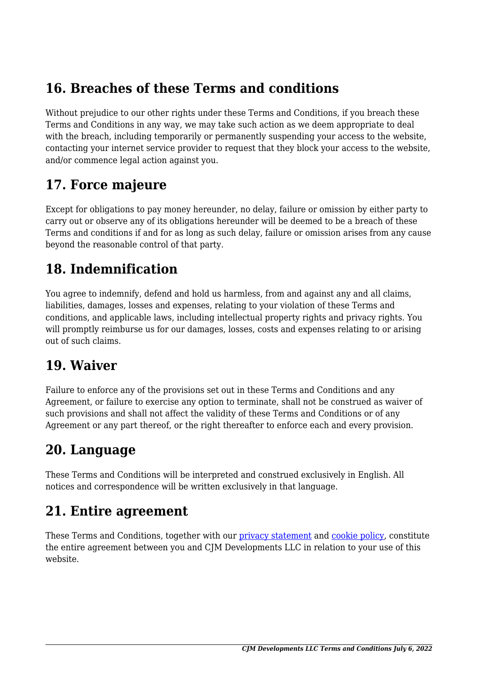#### **16. Breaches of these Terms and conditions**

Without prejudice to our other rights under these Terms and Conditions, if you breach these Terms and Conditions in any way, we may take such action as we deem appropriate to deal with the breach, including temporarily or permanently suspending your access to the website, contacting your internet service provider to request that they block your access to the website, and/or commence legal action against you.

#### **17. Force majeure**

Except for obligations to pay money hereunder, no delay, failure or omission by either party to carry out or observe any of its obligations hereunder will be deemed to be a breach of these Terms and conditions if and for as long as such delay, failure or omission arises from any cause beyond the reasonable control of that party.

#### **18. Indemnification**

You agree to indemnify, defend and hold us harmless, from and against any and all claims, liabilities, damages, losses and expenses, relating to your violation of these Terms and conditions, and applicable laws, including intellectual property rights and privacy rights. You will promptly reimburse us for our damages, losses, costs and expenses relating to or arising out of such claims.

#### **19. Waiver**

Failure to enforce any of the provisions set out in these Terms and Conditions and any Agreement, or failure to exercise any option to terminate, shall not be construed as waiver of such provisions and shall not affect the validity of these Terms and Conditions or of any Agreement or any part thereof, or the right thereafter to enforce each and every provision.

#### **20. Language**

These Terms and Conditions will be interpreted and construed exclusively in English. All notices and correspondence will be written exclusively in that language.

#### **21. Entire agreement**

These Terms and Conditions, together with our privacy statement and [cookie policy,](https://cjmdevelopments.com/cookie-policy-us/) constitute the entire agreement between you and CJM Developments LLC in relation to your use of this website.